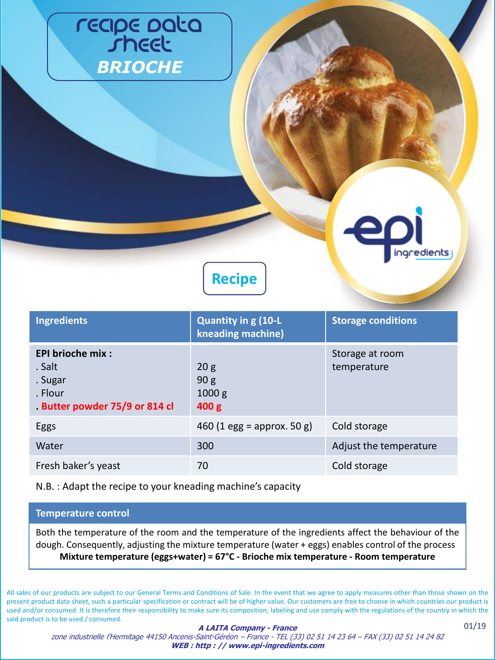## reape pata *BRIOCHE*



**Recipe**

| <b>Ingredients</b>                                                                      | <b>Quantity in g (10-L</b><br>kneading machine)                  | <b>Storage conditions</b>      |
|-----------------------------------------------------------------------------------------|------------------------------------------------------------------|--------------------------------|
| <b>EPI brioche mix:</b><br>. Salt<br>. Sugar<br>. Flour<br>Butter powder 75/9 or 814 cl | 20 <sub>g</sub><br>90 <sub>g</sub><br>1000 g<br>400 <sub>g</sub> | Storage at room<br>temperature |
| Eggs                                                                                    | 460 (1 egg = approx. 50 g)                                       | Cold storage                   |
| Water                                                                                   | 300                                                              | Adjust the temperature         |
| Fresh baker's yeast                                                                     | 70                                                               | Cold storage                   |

N.B. : Adapt the recipe to your kneading machine's capacity

#### **Temperature control**

Both the temperature of the room and the temperature of the ingredients affect the behaviour of the dough. Consequently, adjusting the mixture temperature (water + eggs) enables control of the process **Mixture temperature (eggs+water) = 67°C - Brioche mix temperature - Room temperature**

All sales of our products are subject to our General Terms and Conditions of Sale. In the event that we agree to apply measures other than those shown on the present product data sheet, such a particular specification or contract will be of higher value. Our customers are free to choose in which countries our product is used and/or consumed. It is therefore their responsibility to make sure its composition, labeling and use comply with the regulations of the country in which the said product is to be used / consumed.